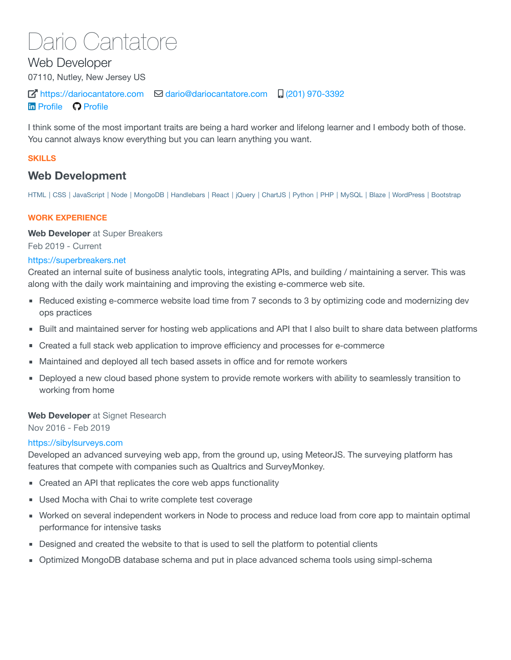# Dario Cantatore

Web Developer 07110, Nutley, New Jersey US  $\overline{A}$  [https://dariocantatore.com](https://dariocantatore.com/)  $\overline{B}$  [dario@dariocantatore.com](mailto:dario@dariocantatore.com)  $\overline{A}$  [\(201\) 970-3392](tel:(201)%20970-3392) **In [Profile](https://github.com/dcantatore) C Profile** 

I think some of the most important traits are being a hard worker and lifelong learner and I embody both of those. You cannot always know everything but you can learn anything you want.

# **SKILLS**

# **Web Development**

HTML | CSS | JavaScript | Node | MongoDB | Handlebars | React | jQuery | ChartJS | Python | PHP | MySQL | Blaze | WordPress | Bootstrap

# **WORK EXPERIENCE**

**Web Developer** at Super Breakers

Feb 2019 - Current

# [https://superbreakers.net](https://superbreakers.net/)

Created an internal suite of business analytic tools, integrating APIs, and building / maintaining a server. This was along with the daily work maintaining and improving the existing e-commerce web site.

- Reduced existing e-commerce website load time from 7 seconds to 3 by optimizing code and modernizing dev ops practices
- Built and maintained server for hosting web applications and API that I also built to share data between platforms
- Created a full stack web application to improve efficiency and processes for e-commerce
- Maintained and deployed all tech based assets in office and for remote workers
- **Deployed a new cloud based phone system to provide remote workers with ability to seamlessly transition to** working from home

# **Web Developer** at Signet Research

Nov 2016 - Feb 2019

# [https://sibylsurveys.com](https://sibylsurveys.com/)

Developed an advanced surveying web app, from the ground up, using MeteorJS. The surveying platform has features that compete with companies such as Qualtrics and SurveyMonkey.

- Created an API that replicates the core web apps functionality
- Used Mocha with Chai to write complete test coverage
- Worked on several independent workers in Node to process and reduce load from core app to maintain optimal performance for intensive tasks
- Designed and created the website to that is used to sell the platform to potential clients
- Optimized MongoDB database schema and put in place advanced schema tools using simpl-schema